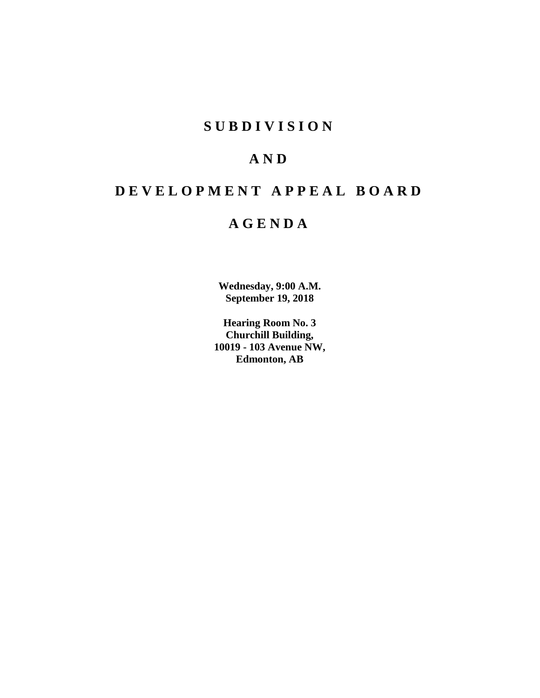# **SUBDIVISION**

# **AND**

# **DEVELOPMENT APPEAL BOARD**

# **AGENDA**

**Wednesday, 9:00 A.M. September 19, 2018**

**Hearing Room No. 3 Churchill Building, 10019 - 103 Avenue NW, Edmonton, AB**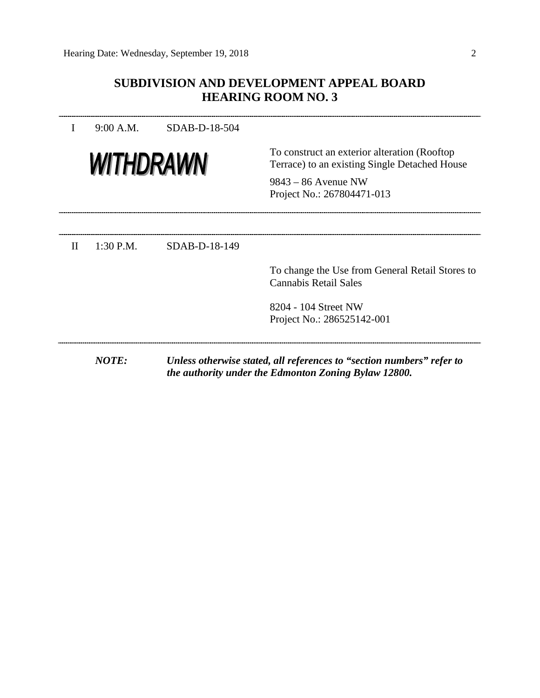# **SUBDIVISION AND DEVELOPMENT APPEAL BOARD HEARING ROOM NO. 3**

|              | 9:00 A.M.    | SDAB-D-18-504 |                                                                                                                               |  |  |
|--------------|--------------|---------------|-------------------------------------------------------------------------------------------------------------------------------|--|--|
| WITHDRAWN    |              |               | To construct an exterior alteration (Rooftop)<br>Terrace) to an existing Single Detached House                                |  |  |
|              |              |               | $9843 - 86$ Avenue NW<br>Project No.: 267804471-013                                                                           |  |  |
|              |              |               |                                                                                                                               |  |  |
| $\mathbf{H}$ | $1:30$ P.M.  | SDAB-D-18-149 |                                                                                                                               |  |  |
|              |              |               | To change the Use from General Retail Stores to<br><b>Cannabis Retail Sales</b>                                               |  |  |
|              |              |               | 8204 - 104 Street NW                                                                                                          |  |  |
|              |              |               | Project No.: 286525142-001                                                                                                    |  |  |
|              | <b>NOTE:</b> |               | Unless otherwise stated, all references to "section numbers" refer to<br>the authority under the Edmonton Zoning Bylaw 12800. |  |  |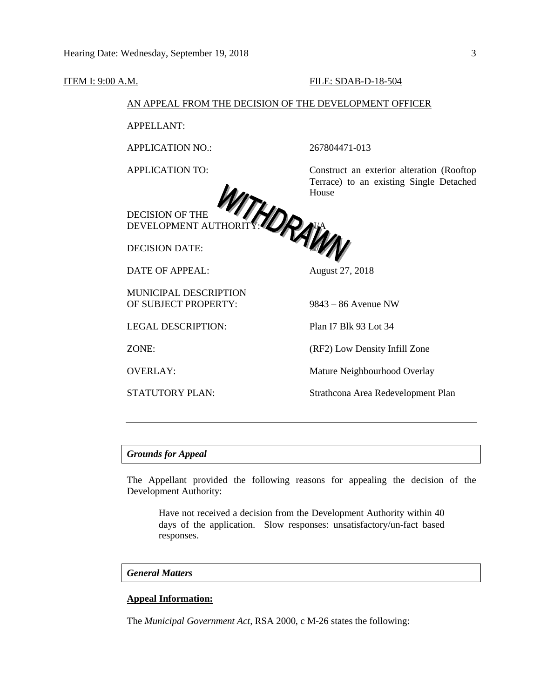#### **ITEM I: 9:00 A.M. FILE: SDAB-D-18-504**

# AN APPEAL FROM THE DECISION OF THE DEVELOPMENT OFFICER

APPELLANT:

APPLICATION NO.: 267804471-013



DECISION OF THE DEVELOPMENT AUTHORITY:

DECISION DATE:

DATE OF APPEAL: August 27, 2018

MUNICIPAL DESCRIPTION OF SUBJECT PROPERTY: 9843 – 86 Avenue NW

LEGAL DESCRIPTION: Plan I7 Blk 93 Lot 34

APPLICATION TO: Construct an exterior alteration (Rooftop Terrace) to an existing Single Detached House



ZONE: (RF2) Low Density Infill Zone

OVERLAY: Mature Neighbourhood Overlay

STATUTORY PLAN: Strathcona Area Redevelopment Plan

### *Grounds for Appeal*

The Appellant provided the following reasons for appealing the decision of the Development Authority:

Have not received a decision from the Development Authority within 40 days of the application. Slow responses: unsatisfactory/un-fact based responses.

# *General Matters*

### **Appeal Information:**

The *Municipal Government Act*, RSA 2000, c M-26 states the following: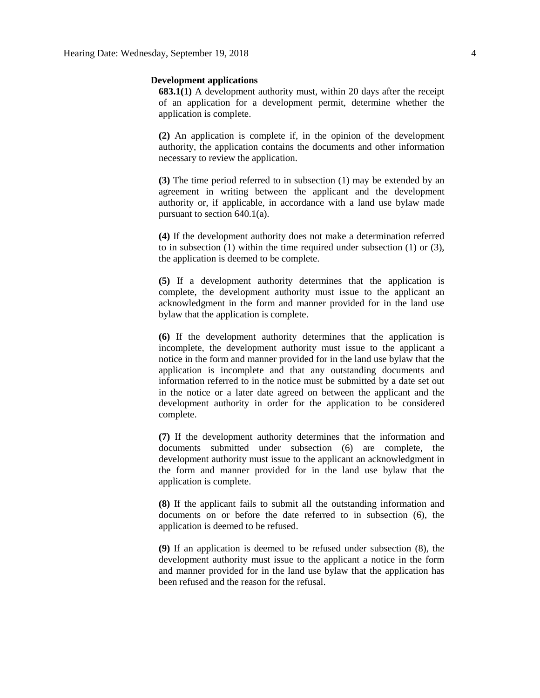#### **Development applications**

**683.1(1)** A development authority must, within 20 days after the receipt of an application for a development permit, determine whether the application is complete.

**(2)** An application is complete if, in the opinion of the development authority, the application contains the documents and other information necessary to review the application.

**(3)** The time period referred to in subsection (1) may be extended by an agreement in writing between the applicant and the development authority or, if applicable, in accordance with a land use bylaw made pursuant to section 640.1(a).

**(4)** If the development authority does not make a determination referred to in subsection (1) within the time required under subsection (1) or (3), the application is deemed to be complete.

**(5)** If a development authority determines that the application is complete, the development authority must issue to the applicant an acknowledgment in the form and manner provided for in the land use bylaw that the application is complete.

**(6)** If the development authority determines that the application is incomplete, the development authority must issue to the applicant a notice in the form and manner provided for in the land use bylaw that the application is incomplete and that any outstanding documents and information referred to in the notice must be submitted by a date set out in the notice or a later date agreed on between the applicant and the development authority in order for the application to be considered complete.

**(7)** If the development authority determines that the information and documents submitted under subsection (6) are complete, the development authority must issue to the applicant an acknowledgment in the form and manner provided for in the land use bylaw that the application is complete.

**(8)** If the applicant fails to submit all the outstanding information and documents on or before the date referred to in subsection (6), the application is deemed to be refused.

**(9)** If an application is deemed to be refused under subsection (8), the development authority must issue to the applicant a notice in the form and manner provided for in the land use bylaw that the application has been refused and the reason for the refusal.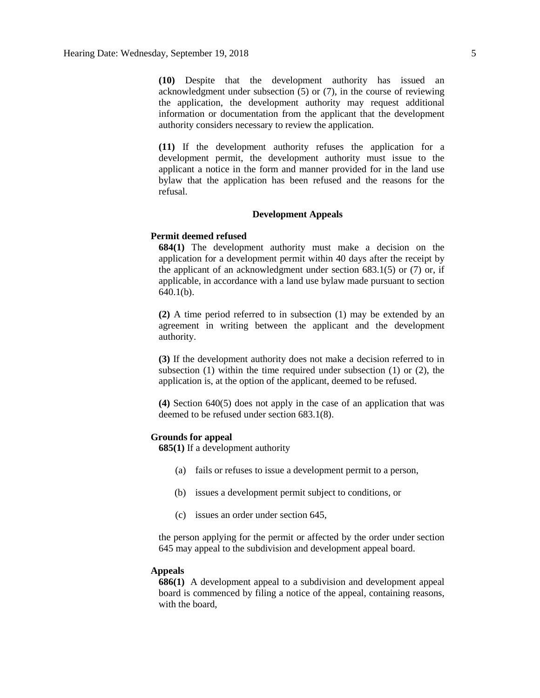**(10)** Despite that the development authority has issued an acknowledgment under subsection (5) or (7), in the course of reviewing the application, the development authority may request additional information or documentation from the applicant that the development authority considers necessary to review the application.

**(11)** If the development authority refuses the application for a development permit, the development authority must issue to the applicant a notice in the form and manner provided for in the land use bylaw that the application has been refused and the reasons for the refusal.

#### **Development Appeals**

#### **Permit deemed refused**

**684(1)** The development authority must make a decision on the application for a development permit within 40 days after the receipt by the applicant of an acknowledgment under section  $683.1(5)$  or  $(7)$  or, if applicable, in accordance with a land use bylaw made pursuant to section 640.1(b).

**(2)** A time period referred to in subsection (1) may be extended by an agreement in writing between the applicant and the development authority.

**(3)** If the development authority does not make a decision referred to in subsection (1) within the time required under subsection (1) or (2), the application is, at the option of the applicant, deemed to be refused.

**(4)** Section 640(5) does not apply in the case of an application that was deemed to be refused under section 683.1(8).

#### **Grounds for appeal**

**685(1)** If a development authority

- (a) fails or refuses to issue a development permit to a person,
- (b) issues a development permit subject to conditions, or
- (c) issues an order under section 645,

the person applying for the permit or affected by the order under section 645 may appeal to the subdivision and development appeal board.

#### **Appeals**

**686(1)** A development appeal to a subdivision and development appeal board is commenced by filing a notice of the appeal, containing reasons, with the board,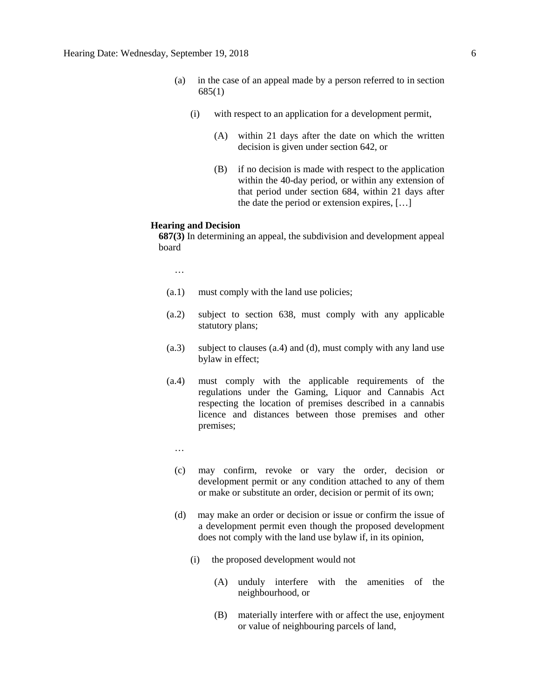- (a) in the case of an appeal made by a person referred to in section 685(1)
	- (i) with respect to an application for a development permit,
		- (A) within 21 days after the date on which the written decision is given under section 642, or
		- (B) if no decision is made with respect to the application within the 40-day period, or within any extension of that period under section 684, within 21 days after the date the period or extension expires, […]

#### **Hearing and Decision**

**687(3)** In determining an appeal, the subdivision and development appeal board

…

- (a.1) must comply with the land use policies;
- (a.2) subject to section 638, must comply with any applicable statutory plans;
- (a.3) subject to clauses (a.4) and (d), must comply with any land use bylaw in effect;
- (a.4) must comply with the applicable requirements of the regulations under the Gaming, Liquor and Cannabis Act respecting the location of premises described in a cannabis licence and distances between those premises and other premises;
	- …
	- (c) may confirm, revoke or vary the order, decision or development permit or any condition attached to any of them or make or substitute an order, decision or permit of its own;
	- (d) may make an order or decision or issue or confirm the issue of a development permit even though the proposed development does not comply with the land use bylaw if, in its opinion,
		- (i) the proposed development would not
			- (A) unduly interfere with the amenities of the neighbourhood, or
			- (B) materially interfere with or affect the use, enjoyment or value of neighbouring parcels of land,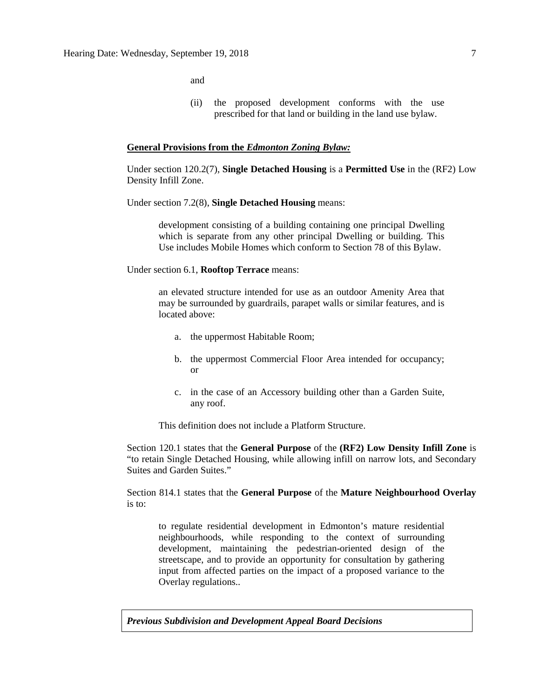and

(ii) the proposed development conforms with the use prescribed for that land or building in the land use bylaw.

#### **General Provisions from the** *Edmonton Zoning Bylaw:*

Under section 120.2(7), **Single Detached Housing** is a **Permitted Use** in the (RF2) Low Density Infill Zone.

Under section 7.2(8), **Single Detached Housing** means:

development consisting of a building containing one principal Dwelling which is separate from any other principal Dwelling or building. This Use includes Mobile Homes which conform to Section 78 of this Bylaw.

Under section 6.1, **Rooftop Terrace** means:

an elevated structure intended for use as an outdoor Amenity Area that may be surrounded by guardrails, parapet walls or similar features, and is located above:

- a. the uppermost Habitable Room;
- b. the uppermost Commercial Floor Area intended for occupancy; or
- c. in the case of an Accessory building other than a Garden Suite, any roof.

This definition does not include a Platform Structure.

Section 120.1 states that the **General Purpose** of the **(RF2) Low Density Infill Zone** is "to retain Single Detached Housing, while allowing infill on narrow lots, and Secondary Suites and Garden Suites."

Section 814.1 states that the **General Purpose** of the **Mature Neighbourhood Overlay** is to:

to regulate residential development in Edmonton's mature residential neighbourhoods, while responding to the context of surrounding development, maintaining the pedestrian-oriented design of the streetscape, and to provide an opportunity for consultation by gathering input from affected parties on the impact of a proposed variance to the Overlay regulations..

*Previous Subdivision and Development Appeal Board Decisions*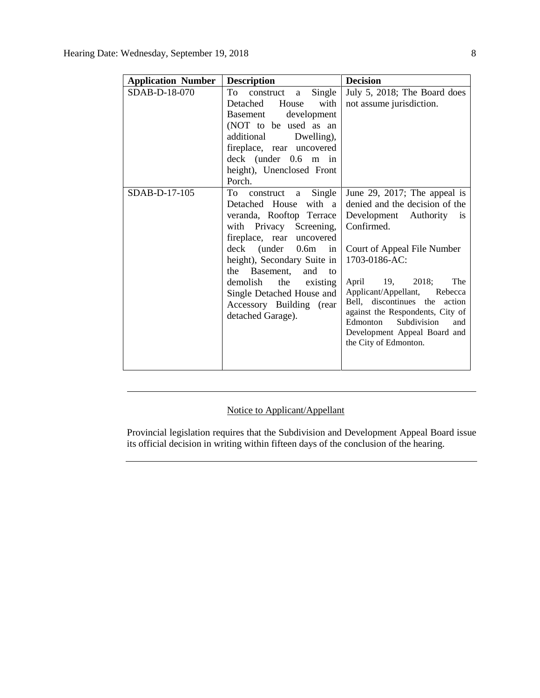| <b>Application Number</b> | <b>Decision</b>                                                                                                                                                                                                                                                                                                                              |                                                                                                                                                                                                                                                                                                                                                                                       |  |
|---------------------------|----------------------------------------------------------------------------------------------------------------------------------------------------------------------------------------------------------------------------------------------------------------------------------------------------------------------------------------------|---------------------------------------------------------------------------------------------------------------------------------------------------------------------------------------------------------------------------------------------------------------------------------------------------------------------------------------------------------------------------------------|--|
| SDAB-D-18-070             | To<br>Single<br>construct a<br>Detached House<br>with<br>development<br>Basement<br>(NOT to be used as an<br>additional Dwelling),<br>fireplace, rear uncovered<br>$deck$ (under $0.6$ m in<br>height), Unenclosed Front<br>Porch.                                                                                                           | July 5, 2018; The Board does<br>not assume jurisdiction.                                                                                                                                                                                                                                                                                                                              |  |
| SDAB-D-17-105             | To<br>a Single<br>construct<br>Detached House<br>with a<br>veranda, Rooftop Terrace<br>with Privacy Screening,<br>fireplace, rear uncovered<br>deck (under 0.6m<br>in<br>height), Secondary Suite in<br>Basement,<br>the<br>and<br>to<br>demolish the existing<br>Single Detached House and<br>Accessory Building (rear<br>detached Garage). | June 29, 2017; The appeal is<br>denied and the decision of the<br>Development Authority is<br>Confirmed.<br>Court of Appeal File Number<br>1703-0186-AC:<br>The<br>April 19, 2018;<br>Applicant/Appellant,<br>Rebecca<br>Bell, discontinues the action<br>against the Respondents, City of<br>Subdivision<br>Edmonton<br>and<br>Development Appeal Board and<br>the City of Edmonton. |  |

# Notice to Applicant/Appellant

Provincial legislation requires that the Subdivision and Development Appeal Board issue its official decision in writing within fifteen days of the conclusion of the hearing.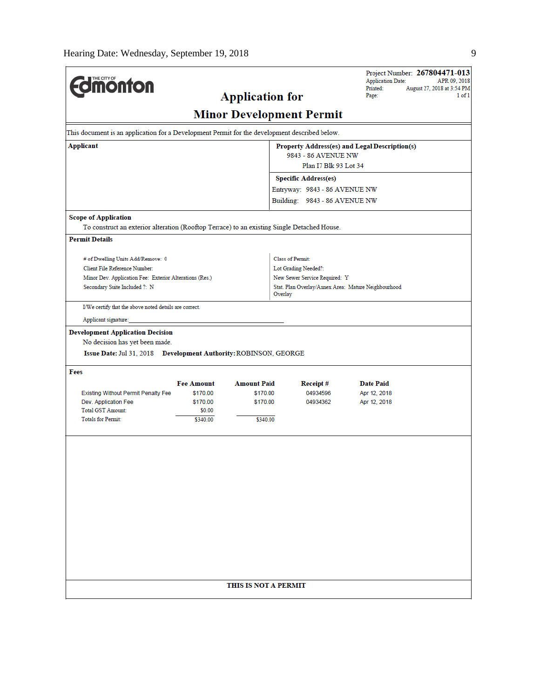$\overline{a}$ 

| <b>monton</b>                                                                                      |                               | <b>Application for</b> |                                                                      | Project Number: 267804471-013<br><b>Application Date:</b><br>APR 09, 2018<br>Printed:<br>August 27, 2018 at 3:54 PM<br>Page:<br>1 of 1 |  |
|----------------------------------------------------------------------------------------------------|-------------------------------|------------------------|----------------------------------------------------------------------|----------------------------------------------------------------------------------------------------------------------------------------|--|
|                                                                                                    |                               |                        | <b>Minor Development Permit</b>                                      |                                                                                                                                        |  |
| This document is an application for a Development Permit for the development described below.      |                               |                        |                                                                      |                                                                                                                                        |  |
| Applicant                                                                                          |                               |                        | Property Address(es) and Legal Description(s)<br>9843 - 86 AVENUE NW |                                                                                                                                        |  |
|                                                                                                    |                               |                        | Plan I7 Blk 93 Lot 34                                                |                                                                                                                                        |  |
|                                                                                                    |                               |                        | <b>Specific Address(es)</b>                                          |                                                                                                                                        |  |
|                                                                                                    |                               |                        | Entryway: 9843 - 86 AVENUE NW                                        |                                                                                                                                        |  |
|                                                                                                    |                               |                        | Building: 9843 - 86 AVENUE NW                                        |                                                                                                                                        |  |
| <b>Scope of Application</b>                                                                        |                               |                        |                                                                      |                                                                                                                                        |  |
| To construct an exterior alteration (Rooftop Terrace) to an existing Single Detached House.        |                               |                        |                                                                      |                                                                                                                                        |  |
| <b>Permit Details</b>                                                                              |                               |                        |                                                                      |                                                                                                                                        |  |
| # of Dwelling Units Add/Remove: 0                                                                  |                               |                        | Class of Permit:                                                     |                                                                                                                                        |  |
| Client File Reference Number:                                                                      |                               |                        | Lot Grading Needed?:                                                 |                                                                                                                                        |  |
| Minor Dev. Application Fee: Exterior Alterations (Res.)                                            |                               |                        | New Sewer Service Required: Y                                        |                                                                                                                                        |  |
| Secondary Suite Included ?: N                                                                      |                               |                        | Stat. Plan Overlay/Annex Area: Mature Neighbourhood<br>Overlay       |                                                                                                                                        |  |
| I/We certify that the above noted details are correct.                                             |                               |                        |                                                                      |                                                                                                                                        |  |
| Applicant signature:                                                                               |                               |                        |                                                                      |                                                                                                                                        |  |
| No decision has yet been made.<br>Issue Date: Jul 31, 2018 Development Authority: ROBINSON, GEORGE |                               |                        |                                                                      |                                                                                                                                        |  |
| Fees                                                                                               |                               | <b>Amount Paid</b>     |                                                                      |                                                                                                                                        |  |
| <b>Existing Without Permit Penalty Fee</b>                                                         | <b>Fee Amount</b><br>\$170.00 | \$170.00               | Receipt#<br>04934596                                                 | <b>Date Paid</b><br>Apr 12, 2018                                                                                                       |  |
| Dev. Application Fee                                                                               | \$170.00                      | \$170.00               | 04934362                                                             | Apr 12, 2018                                                                                                                           |  |
| <b>Total GST Amount:</b>                                                                           | \$0.00                        |                        |                                                                      |                                                                                                                                        |  |
| <b>Totals for Permit:</b>                                                                          | \$340.00                      | \$340.00               |                                                                      |                                                                                                                                        |  |
|                                                                                                    |                               |                        |                                                                      |                                                                                                                                        |  |
|                                                                                                    |                               |                        |                                                                      |                                                                                                                                        |  |
|                                                                                                    |                               |                        |                                                                      |                                                                                                                                        |  |
|                                                                                                    |                               |                        |                                                                      |                                                                                                                                        |  |
|                                                                                                    |                               |                        |                                                                      |                                                                                                                                        |  |
|                                                                                                    |                               |                        |                                                                      |                                                                                                                                        |  |
|                                                                                                    |                               |                        |                                                                      |                                                                                                                                        |  |
|                                                                                                    |                               |                        |                                                                      |                                                                                                                                        |  |
|                                                                                                    |                               |                        |                                                                      |                                                                                                                                        |  |
|                                                                                                    |                               | THIS IS NOT A PERMIT   |                                                                      |                                                                                                                                        |  |
|                                                                                                    |                               |                        |                                                                      |                                                                                                                                        |  |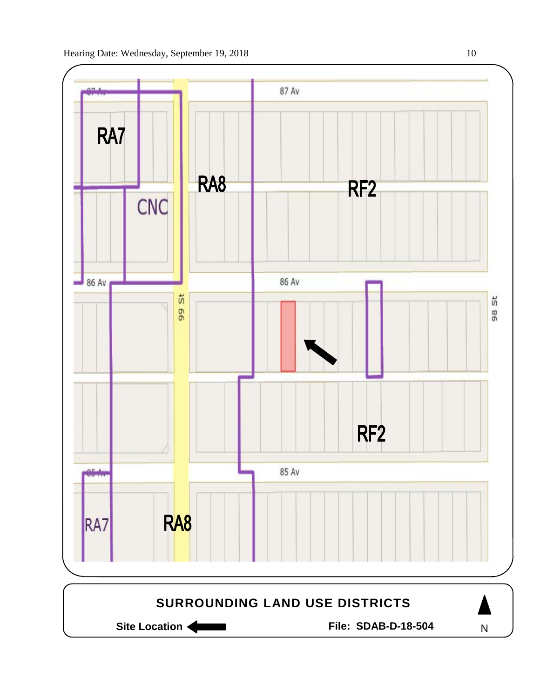

Site Location **Community Contracts** File: SDAB-D-18-504

N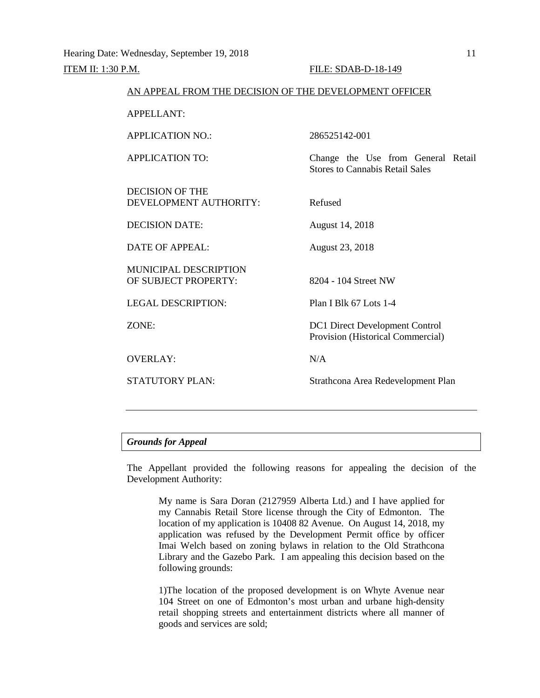| 286525142-001                                                                |
|------------------------------------------------------------------------------|
| Change the Use from General Retail<br><b>Stores to Cannabis Retail Sales</b> |
| Refused                                                                      |
| August 14, 2018                                                              |
| August 23, 2018                                                              |
| 8204 - 104 Street NW                                                         |
| Plan I Blk 67 Lots 1-4                                                       |
| <b>DC1</b> Direct Development Control<br>Provision (Historical Commercial)   |
| N/A                                                                          |
| Strathcona Area Redevelopment Plan                                           |
|                                                                              |

AN APPEAL FROM THE DECISION OF THE DEVELOPMENT OFFICER

# *Grounds for Appeal*

The Appellant provided the following reasons for appealing the decision of the Development Authority:

My name is Sara Doran (2127959 Alberta Ltd.) and I have applied for my Cannabis Retail Store license through the City of Edmonton. The location of my application is 10408 82 Avenue. On August 14, 2018, my application was refused by the Development Permit office by officer Imai Welch based on zoning bylaws in relation to the Old Strathcona Library and the Gazebo Park. I am appealing this decision based on the following grounds:

1)The location of the proposed development is on Whyte Avenue near 104 Street on one of Edmonton's most urban and urbane high-density retail shopping streets and entertainment districts where all manner of goods and services are sold;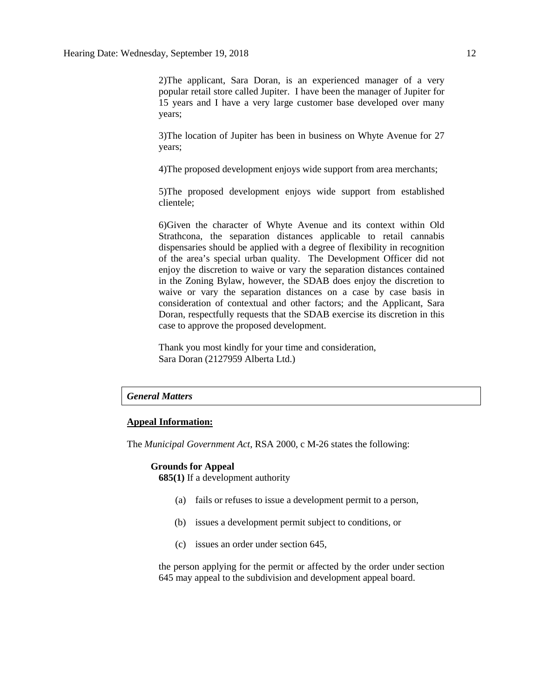2)The applicant, Sara Doran, is an experienced manager of a very popular retail store called Jupiter. I have been the manager of Jupiter for 15 years and I have a very large customer base developed over many years;

3)The location of Jupiter has been in business on Whyte Avenue for 27 years;

4)The proposed development enjoys wide support from area merchants;

5)The proposed development enjoys wide support from established clientele;

6)Given the character of Whyte Avenue and its context within Old Strathcona, the separation distances applicable to retail cannabis dispensaries should be applied with a degree of flexibility in recognition of the area's special urban quality. The Development Officer did not enjoy the discretion to waive or vary the separation distances contained in the Zoning Bylaw, however, the SDAB does enjoy the discretion to waive or vary the separation distances on a case by case basis in consideration of contextual and other factors; and the Applicant, Sara Doran, respectfully requests that the SDAB exercise its discretion in this case to approve the proposed development.

Thank you most kindly for your time and consideration, Sara Doran (2127959 Alberta Ltd.)

#### *General Matters*

### **Appeal Information:**

The *Municipal Government Act*, RSA 2000, c M-26 states the following:

#### **Grounds for Appeal**

**685(1)** If a development authority

- (a) fails or refuses to issue a development permit to a person,
- (b) issues a development permit subject to conditions, or
- (c) issues an order under section 645,

the person applying for the permit or affected by the order under section 645 may appeal to the subdivision and development appeal board.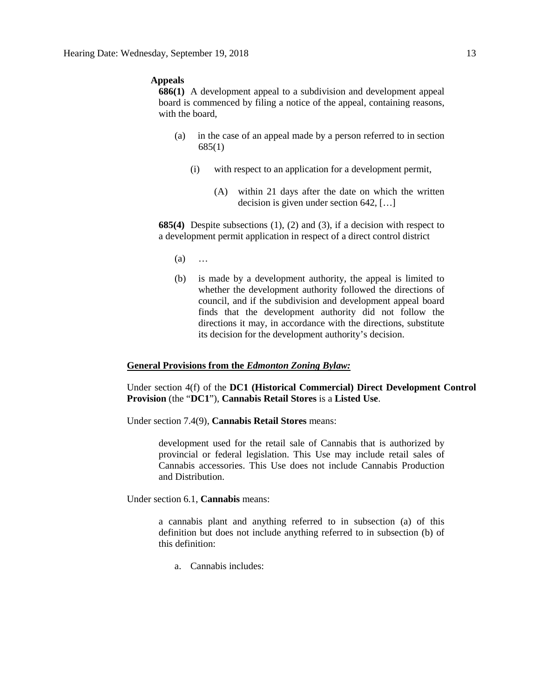# **Appeals**

**686(1)** A development appeal to a subdivision and development appeal board is commenced by filing a notice of the appeal, containing reasons, with the board,

- (a) in the case of an appeal made by a person referred to in section 685(1)
	- (i) with respect to an application for a development permit,
		- (A) within 21 days after the date on which the written decision is given under section 642, […]

**685(4)** Despite subsections (1), (2) and (3), if a decision with respect to a development permit application in respect of a direct control district

- (a) …
- (b) is made by a development authority, the appeal is limited to whether the development authority followed the directions of council, and if the subdivision and development appeal board finds that the development authority did not follow the directions it may, in accordance with the directions, substitute its decision for the development authority's decision.

#### **General Provisions from the** *Edmonton Zoning Bylaw:*

Under section 4(f) of the **DC1 (Historical Commercial) Direct Development Control Provision** (the "**DC1**"), **Cannabis Retail Stores** is a **Listed Use**.

Under section 7.4(9), **Cannabis Retail Stores** means:

development used for the retail sale of Cannabis that is authorized by provincial or federal legislation. This Use may include retail sales of Cannabis accessories. This Use does not include Cannabis Production and Distribution.

Under section 6.1, **Cannabis** means:

a cannabis plant and anything referred to in subsection (a) of this definition but does not include anything referred to in subsection (b) of this definition:

a. Cannabis includes: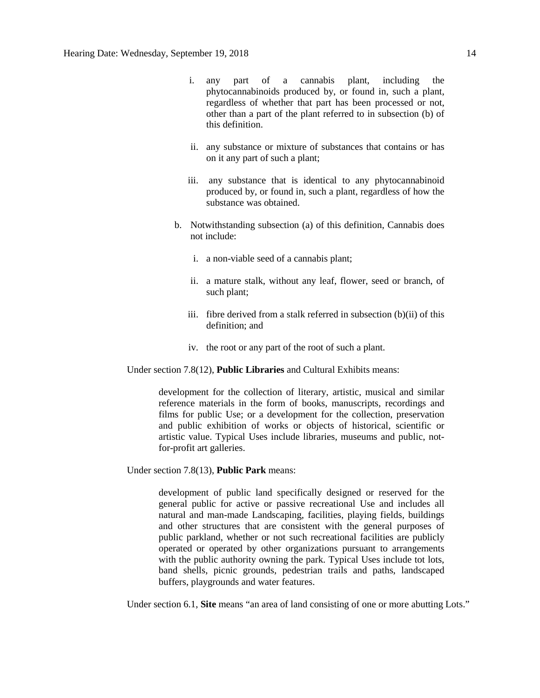- i. any part of a cannabis plant, including the phytocannabinoids produced by, or found in, such a plant, regardless of whether that part has been processed or not, other than a part of the plant referred to in subsection (b) of this definition.
- ii. any substance or mixture of substances that contains or has on it any part of such a plant;
- iii. any substance that is identical to any phytocannabinoid produced by, or found in, such a plant, regardless of how the substance was obtained.
- b. Notwithstanding subsection (a) of this definition, Cannabis does not include:
	- i. a non-viable seed of a cannabis plant;
	- ii. a mature stalk, without any leaf, flower, seed or branch, of such plant;
	- iii. fibre derived from a stalk referred in subsection (b)(ii) of this definition; and
	- iv. the root or any part of the root of such a plant.

Under section 7.8(12), **Public Libraries** and Cultural Exhibits means:

development for the collection of literary, artistic, musical and similar reference materials in the form of books, manuscripts, recordings and films for public Use; or a development for the collection, preservation and public exhibition of works or objects of historical, scientific or artistic value. Typical Uses include libraries, museums and public, notfor-profit art galleries.

Under section 7.8(13), **Public Park** means:

development of public land specifically designed or reserved for the general public for active or passive recreational Use and includes all natural and man-made Landscaping, facilities, playing fields, buildings and other structures that are consistent with the general purposes of public parkland, whether or not such recreational facilities are publicly operated or operated by other organizations pursuant to arrangements with the public authority owning the park. Typical Uses include tot lots, band shells, picnic grounds, pedestrian trails and paths, landscaped buffers, playgrounds and water features.

Under section 6.1, **Site** means "an area of land consisting of one or more abutting Lots."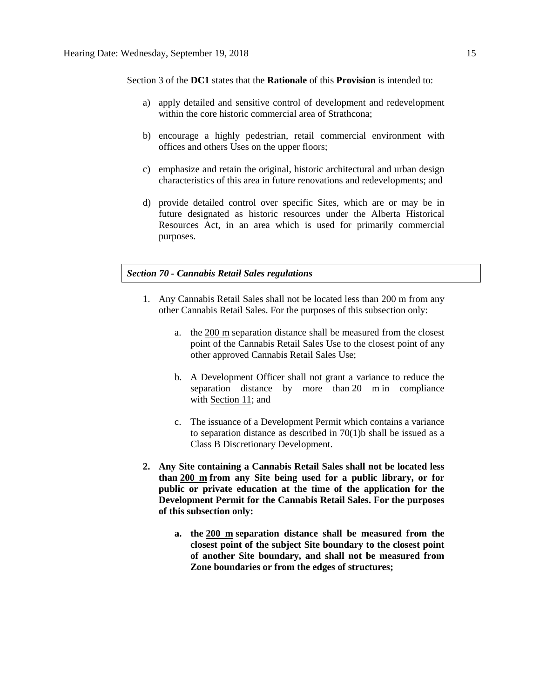Section 3 of the **DC1** states that the **Rationale** of this **Provision** is intended to:

- a) apply detailed and sensitive control of development and redevelopment within the core historic commercial area of Strathcona:
- b) encourage a highly pedestrian, retail commercial environment with offices and others Uses on the upper floors;
- c) emphasize and retain the original, historic architectural and urban design characteristics of this area in future renovations and redevelopments; and
- d) provide detailed control over specific Sites, which are or may be in future designated as historic resources under the Alberta Historical Resources Act, in an area which is used for primarily commercial purposes.

# *Section 70 - Cannabis Retail Sales regulations*

- 1. Any Cannabis Retail Sales shall not be located less than 200 m from any other Cannabis Retail Sales. For the purposes of this subsection only:
	- a. the [200 m](javascript:void(0);) separation distance shall be measured from the closest point of the Cannabis Retail Sales Use to the closest point of any other approved Cannabis Retail Sales Use;
	- b. A Development Officer shall not grant a variance to reduce the separation distance by more than [20 m](javascript:void(0);) in compliance with [Section 11;](https://webdocs.edmonton.ca/InfraPlan/zoningbylaw/ZoningBylaw/Part1/Administrative/11__Authority_and_Responsibility_of_the_Development_Officer.htm) and
	- c. The issuance of a Development Permit which contains a variance to separation distance as described in 70(1)b shall be issued as a Class B Discretionary Development.
- **2. Any Site containing a Cannabis Retail Sales shall not be located less than [200 m](javascript:void(0);) from any Site being used for a public library, or for public or private education at the time of the application for the Development Permit for the Cannabis Retail Sales. For the purposes of this subsection only:**
	- **a. the [200 m](javascript:void(0);) separation distance shall be measured from the closest point of the subject Site boundary to the closest point of another Site boundary, and shall not be measured from Zone boundaries or from the edges of structures;**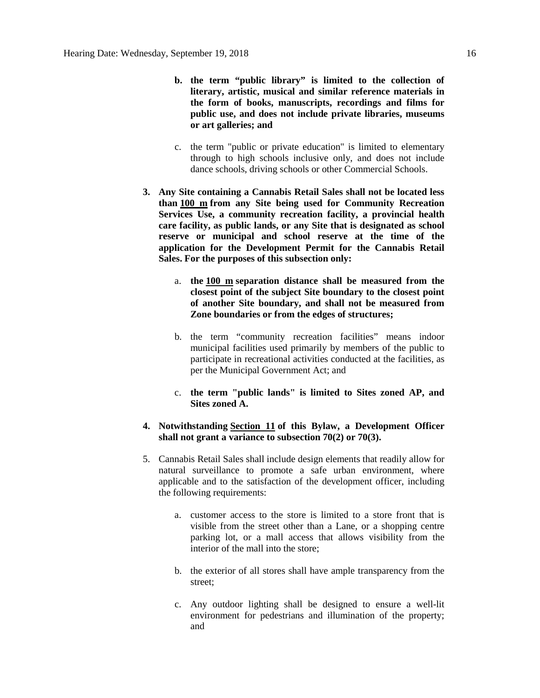- **b. the term "public library" is limited to the collection of literary, artistic, musical and similar reference materials in the form of books, manuscripts, recordings and films for public use, and does not include private libraries, museums or art galleries; and**
- c. the term "public or private education" is limited to elementary through to high schools inclusive only, and does not include dance schools, driving schools or other Commercial Schools.
- **3. Any Site containing a Cannabis Retail Sales shall not be located less than [100 m](javascript:void(0);) from any Site being used for Community Recreation Services Use, a community recreation facility, a provincial health care facility, as public lands, or any Site that is designated as school reserve or municipal and school reserve at the time of the application for the Development Permit for the Cannabis Retail Sales. For the purposes of this subsection only:**
	- a. **the [100 m](javascript:void(0);) separation distance shall be measured from the closest point of the subject Site boundary to the closest point of another Site boundary, and shall not be measured from Zone boundaries or from the edges of structures;**
	- b. the term "community recreation facilities" means indoor municipal facilities used primarily by members of the public to participate in recreational activities conducted at the facilities, as per the Municipal Government Act; and
	- c. **the term "public lands" is limited to Sites zoned AP, and Sites zoned A.**
- **4. Notwithstanding [Section 11](https://webdocs.edmonton.ca/InfraPlan/zoningbylaw/ZoningBylaw/Part1/Administrative/11__Authority_and_Responsibility_of_the_Development_Officer.htm) of this Bylaw, a Development Officer shall not grant a variance to subsection 70(2) or 70(3).**
- 5. Cannabis Retail Sales shall include design elements that readily allow for natural surveillance to promote a safe urban environment, where applicable and to the satisfaction of the development officer, including the following requirements:
	- a. customer access to the store is limited to a store front that is visible from the street other than a Lane, or a shopping centre parking lot, or a mall access that allows visibility from the interior of the mall into the store;
	- b. the exterior of all stores shall have ample transparency from the street;
	- c. Any outdoor lighting shall be designed to ensure a well-lit environment for pedestrians and illumination of the property; and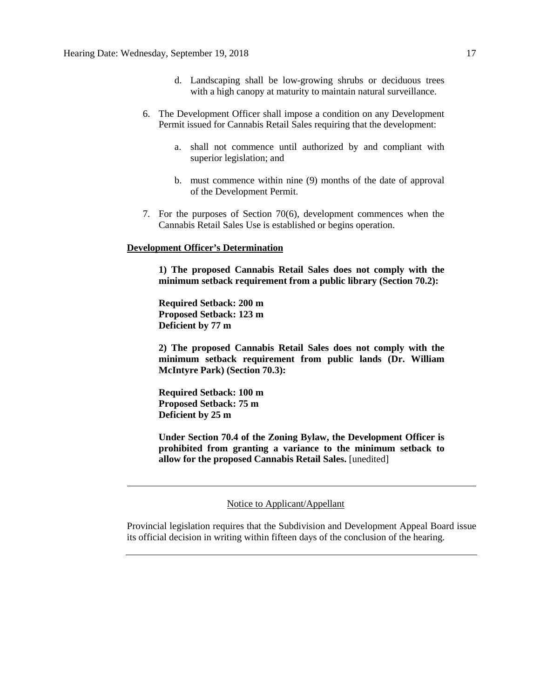- d. Landscaping shall be low-growing shrubs or deciduous trees with a high canopy at maturity to maintain natural surveillance.
- 6. The Development Officer shall impose a condition on any Development Permit issued for Cannabis Retail Sales requiring that the development:
	- a. shall not commence until authorized by and compliant with superior legislation; and
	- b. must commence within nine (9) months of the date of approval of the Development Permit.
- 7. For the purposes of Section 70(6), development commences when the Cannabis Retail Sales Use is established or begins operation.

### **Development Officer's Determination**

**1) The proposed Cannabis Retail Sales does not comply with the minimum setback requirement from a public library (Section 70.2):**

**Required Setback: 200 m Proposed Setback: 123 m Deficient by 77 m**

**2) The proposed Cannabis Retail Sales does not comply with the minimum setback requirement from public lands (Dr. William McIntyre Park) (Section 70.3):**

**Required Setback: 100 m Proposed Setback: 75 m Deficient by 25 m**

**Under Section 70.4 of the Zoning Bylaw, the Development Officer is prohibited from granting a variance to the minimum setback to allow for the proposed Cannabis Retail Sales.** [unedited]

### Notice to Applicant/Appellant

Provincial legislation requires that the Subdivision and Development Appeal Board issue its official decision in writing within fifteen days of the conclusion of the hearing.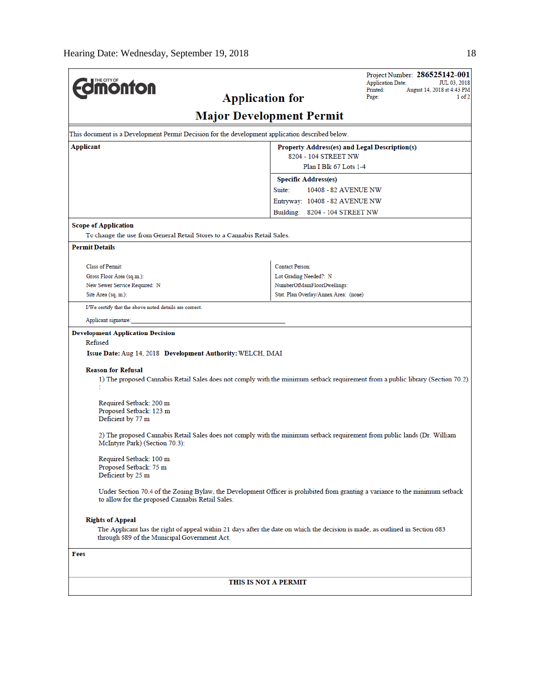| <b>MOnton</b>                                                            |                                                                                                                               | Project Number: 286525142-001<br><b>Application Date:</b><br>JUL 03, 2018                                                       |
|--------------------------------------------------------------------------|-------------------------------------------------------------------------------------------------------------------------------|---------------------------------------------------------------------------------------------------------------------------------|
|                                                                          | <b>Application for</b>                                                                                                        | Printed:<br>August 14, 2018 at 4:43 PM<br>1 of 2<br>Page:                                                                       |
|                                                                          | <b>Major Development Permit</b>                                                                                               |                                                                                                                                 |
|                                                                          | This document is a Development Permit Decision for the development application described below.                               |                                                                                                                                 |
| Applicant                                                                |                                                                                                                               | Property Address(es) and Legal Description(s)                                                                                   |
|                                                                          | 8204 - 104 STREET NW                                                                                                          | Plan I Blk 67 Lots 1-4                                                                                                          |
|                                                                          | <b>Specific Address(es)</b>                                                                                                   |                                                                                                                                 |
|                                                                          | Suite:                                                                                                                        | 10408 - 82 AVENUE NW                                                                                                            |
|                                                                          | Entryway: 10408 - 82 AVENUE NW                                                                                                |                                                                                                                                 |
|                                                                          | Building: 8204 - 104 STREET NW                                                                                                |                                                                                                                                 |
| <b>Scope of Application</b>                                              |                                                                                                                               |                                                                                                                                 |
| To change the use from General Retail Stores to a Cannabis Retail Sales. |                                                                                                                               |                                                                                                                                 |
| <b>Permit Details</b>                                                    |                                                                                                                               |                                                                                                                                 |
| <b>Class of Permit:</b>                                                  | <b>Contact Person:</b>                                                                                                        |                                                                                                                                 |
| Gross Floor Area (sq.m.):                                                | Lot Grading Needed?: N                                                                                                        |                                                                                                                                 |
| New Sewer Service Required: N                                            | NumberOfMainFloorDwellings:                                                                                                   |                                                                                                                                 |
| Site Area (sq. m.):                                                      | Stat. Plan Overlay/Annex Area: (none)                                                                                         |                                                                                                                                 |
| I/We certify that the above noted details are correct.                   |                                                                                                                               |                                                                                                                                 |
| Applicant signature:                                                     |                                                                                                                               |                                                                                                                                 |
| <b>Development Application Decision</b>                                  |                                                                                                                               |                                                                                                                                 |
| Refused                                                                  |                                                                                                                               |                                                                                                                                 |
| Issue Date: Aug 14, 2018 Development Authority: WELCH, IMAI              |                                                                                                                               |                                                                                                                                 |
| <b>Reason for Refusal</b>                                                |                                                                                                                               |                                                                                                                                 |
|                                                                          |                                                                                                                               | 1) The proposed Cannabis Retail Sales does not comply with the minimum setback requirement from a public library (Section 70.2) |
| Required Setback: 200 m                                                  |                                                                                                                               |                                                                                                                                 |
| Proposed Setback: 123 m                                                  |                                                                                                                               |                                                                                                                                 |
| Deficient by 77 m                                                        |                                                                                                                               |                                                                                                                                 |
| McIntyre Park) (Section 70.3):                                           | 2) The proposed Cannabis Retail Sales does not comply with the minimum setback requirement from public lands (Dr. William     |                                                                                                                                 |
| Required Setback: 100 m                                                  |                                                                                                                               |                                                                                                                                 |
| Proposed Setback: 75 m                                                   |                                                                                                                               |                                                                                                                                 |
| Deficient by 25 m                                                        |                                                                                                                               |                                                                                                                                 |
| to allow for the proposed Cannabis Retail Sales.                         |                                                                                                                               | Under Section 70.4 of the Zoning Bylaw, the Development Officer is prohibited from granting a variance to the minimum setback   |
| <b>Rights of Appeal</b>                                                  |                                                                                                                               |                                                                                                                                 |
| through 689 of the Municipal Government Act.                             | The Applicant has the right of appeal within 21 days after the date on which the decision is made, as outlined in Section 683 |                                                                                                                                 |
| Fees                                                                     |                                                                                                                               |                                                                                                                                 |
|                                                                          |                                                                                                                               |                                                                                                                                 |
|                                                                          | THIS IS NOT A PERMIT                                                                                                          |                                                                                                                                 |
|                                                                          |                                                                                                                               |                                                                                                                                 |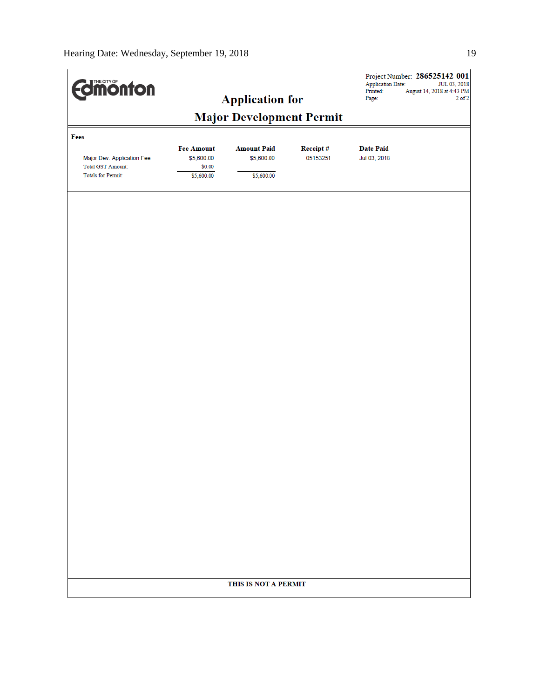| <b>difficultion</b><br><b>Application for</b>                                               |                                                         |                                  | Project Number: 286525142-001<br><b>Application Date:</b><br>JUL 03, 2018<br>Printed:<br>August 14, 2018 at 4:43 PM<br>Page:<br>$2$ of $2$ |                                  |  |
|---------------------------------------------------------------------------------------------|---------------------------------------------------------|----------------------------------|--------------------------------------------------------------------------------------------------------------------------------------------|----------------------------------|--|
| <b>Major Development Permit</b>                                                             |                                                         |                                  |                                                                                                                                            |                                  |  |
| Fees<br>Major Dev. Application Fee<br><b>Total GST Amount:</b><br><b>Totals for Permit:</b> | <b>Fee Amount</b><br>\$5,600.00<br>\$0.00<br>\$5,600.00 | <b>Amount Paid</b><br>\$5,600.00 | Receipt#<br>05153251                                                                                                                       | <b>Date Paid</b><br>Jul 03, 2018 |  |
|                                                                                             |                                                         | \$5,600.00                       |                                                                                                                                            |                                  |  |
|                                                                                             |                                                         |                                  |                                                                                                                                            |                                  |  |
|                                                                                             |                                                         |                                  |                                                                                                                                            |                                  |  |
|                                                                                             |                                                         |                                  |                                                                                                                                            |                                  |  |
|                                                                                             |                                                         |                                  |                                                                                                                                            |                                  |  |
|                                                                                             |                                                         |                                  |                                                                                                                                            |                                  |  |
|                                                                                             |                                                         |                                  |                                                                                                                                            |                                  |  |
|                                                                                             |                                                         |                                  |                                                                                                                                            |                                  |  |
|                                                                                             |                                                         |                                  |                                                                                                                                            |                                  |  |
|                                                                                             |                                                         |                                  |                                                                                                                                            |                                  |  |
|                                                                                             |                                                         |                                  |                                                                                                                                            |                                  |  |
|                                                                                             |                                                         |                                  |                                                                                                                                            |                                  |  |
|                                                                                             |                                                         |                                  |                                                                                                                                            |                                  |  |
|                                                                                             |                                                         |                                  |                                                                                                                                            |                                  |  |
|                                                                                             |                                                         | THIS IS NOT A PERMIT             |                                                                                                                                            |                                  |  |